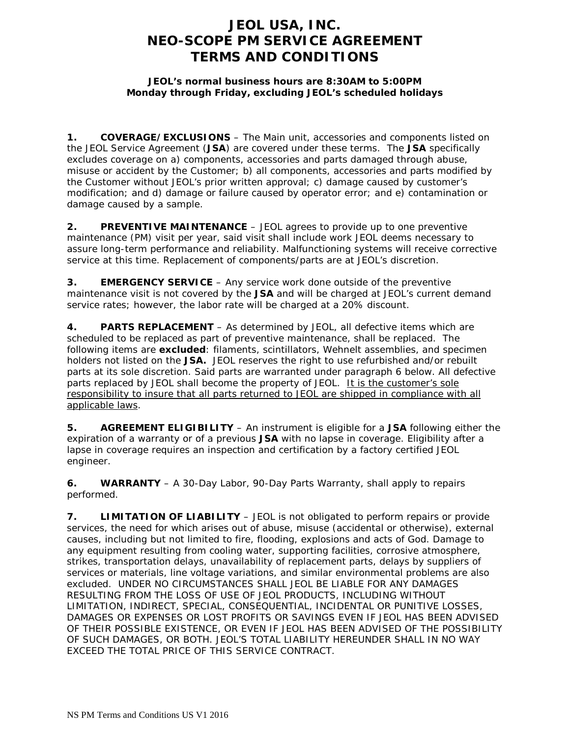## **JEOL USA, INC. NEO-SCOPE PM SERVICE AGREEMENT TERMS AND CONDITIONS**

## **JEOL's normal business hours are 8:30AM to 5:00PM Monday through Friday, excluding JEOL's scheduled holidays**

**1. COVERAGE/EXCLUSIONS** – The Main unit, accessories and components listed on the JEOL Service Agreement (**JSA**) are covered under these terms. The **JSA** specifically excludes coverage on a) components, accessories and parts damaged through abuse, misuse or accident by the Customer; b) all components, accessories and parts modified by the Customer without JEOL's prior written approval; c) damage caused by customer's modification; and d) damage or failure caused by operator error; and e) contamination or damage caused by a sample.

**2. PREVENTIVE MAINTENANCE** – JEOL agrees to provide up to one preventive maintenance (PM) visit per year, said visit shall include work JEOL deems necessary to assure long-term performance and reliability. Malfunctioning systems will receive corrective service at this time. Replacement of components/parts are at JEOL's discretion.

**3. EMERGENCY SERVICE** – Any service work done outside of the preventive maintenance visit is not covered by the **JSA** and will be charged at JEOL's current demand service rates; however, the labor rate will be charged at a 20% discount.

**4. PARTS REPLACEMENT** – As determined by JEOL, all defective items which are scheduled to be replaced as part of preventive maintenance, shall be replaced. The following items are **excluded**: filaments, scintillators, Wehnelt assemblies, and specimen holders not listed on the **JSA.** JEOL reserves the right to use refurbished and/or rebuilt parts at its sole discretion. Said parts are warranted under paragraph 6 below. All defective parts replaced by JEOL shall become the property of JEOL. It is the customer's sole responsibility to insure that all parts returned to JEOL are shipped in compliance with all applicable laws.

**5. AGREEMENT ELIGIBILITY** – An instrument is eligible for a **JSA** following either the expiration of a warranty or of a previous **JSA** with no lapse in coverage. Eligibility after a lapse in coverage requires an inspection and certification by a factory certified JEOL engineer.

**6. WARRANTY** – A 30-Day Labor, 90-Day Parts Warranty, shall apply to repairs performed.

**7. LIMITATION OF LIABILITY** – JEOL is not obligated to perform repairs or provide services, the need for which arises out of abuse, misuse (accidental or otherwise), external causes, including but not limited to fire, flooding, explosions and acts of God. Damage to any equipment resulting from cooling water, supporting facilities, corrosive atmosphere, strikes, transportation delays, unavailability of replacement parts, delays by suppliers of services or materials, line voltage variations, and similar environmental problems are also excluded. UNDER NO CIRCUMSTANCES SHALL JEOL BE LIABLE FOR ANY DAMAGES RESULTING FROM THE LOSS OF USE OF JEOL PRODUCTS, INCLUDING WITHOUT LIMITATION, INDIRECT, SPECIAL, CONSEQUENTIAL, INCIDENTAL OR PUNITIVE LOSSES, DAMAGES OR EXPENSES OR LOST PROFITS OR SAVINGS EVEN IF JEOL HAS BEEN ADVISED OF THEIR POSSIBLE EXISTENCE, OR EVEN IF JEOL HAS BEEN ADVISED OF THE POSSIBILITY OF SUCH DAMAGES, OR BOTH. JEOL'S TOTAL LIABILITY HEREUNDER SHALL IN NO WAY EXCEED THE TOTAL PRICE OF THIS SERVICE CONTRACT.